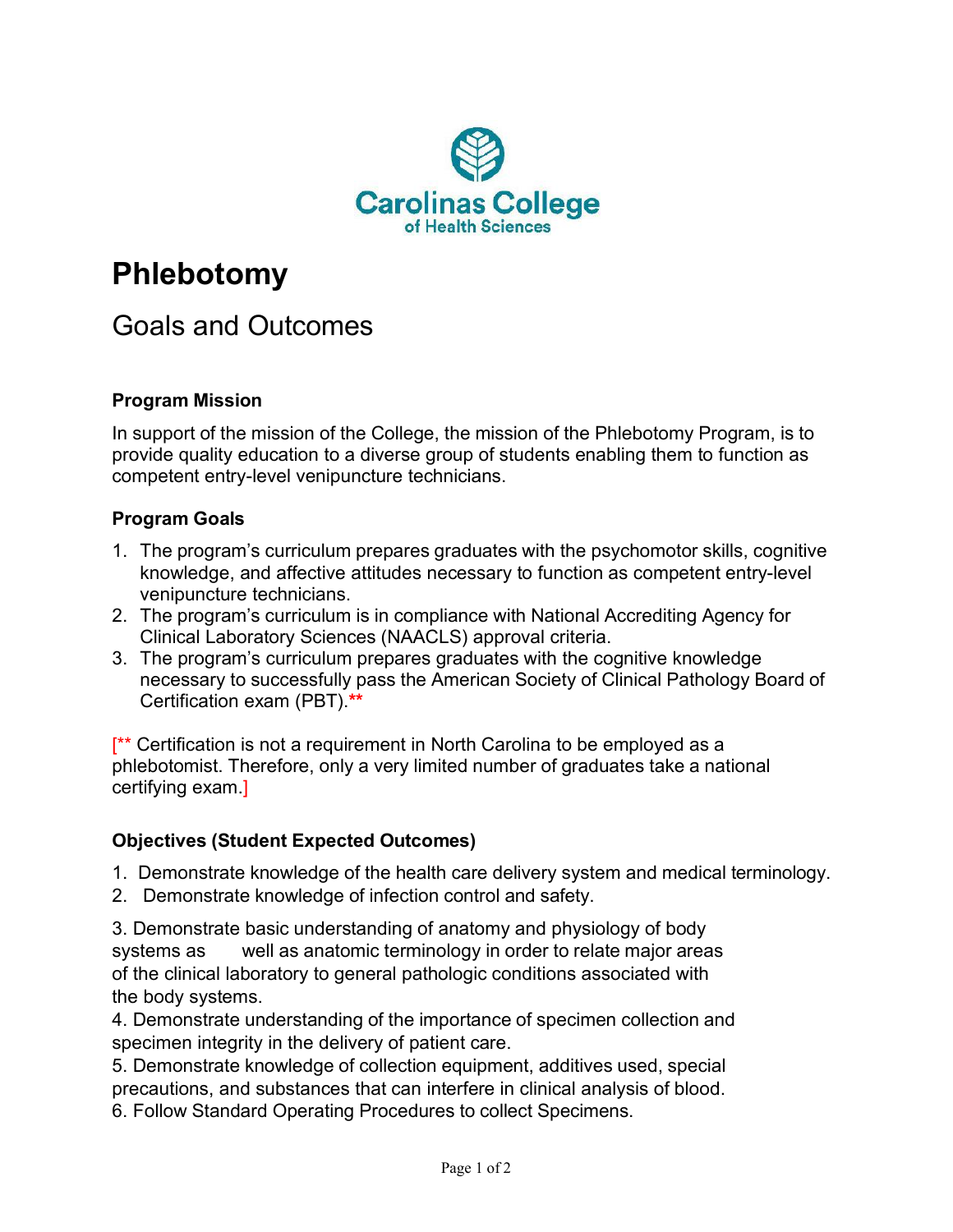

# **Phlebotomy**

# Goals and Outcomes

## **Program Mission**

In support of the mission of the College, the mission of the Phlebotomy Program, is to provide quality education to a diverse group of students enabling them to function as competent entry-level venipuncture technicians.

#### **Program Goals**

- 1. The program's curriculum prepares graduates with the psychomotor skills, cognitive knowledge, and affective attitudes necessary to function as competent entry-level venipuncture technicians.
- 2. The program's curriculum is in compliance with National Accrediting Agency for Clinical Laboratory Sciences (NAACLS) approval criteria.
- 3. The program's curriculum prepares graduates with the cognitive knowledge necessary to successfully pass the American Society of Clinical Pathology Board of Certification exam (PBT).**\*\***

**[\*\*** Certification is not a requirement in North Carolina to be employed as a phlebotomist. Therefore, only a very limited number of graduates take a national certifying exam.]

#### **Objectives (Student Expected Outcomes)**

- 1. Demonstrate knowledge of the health care delivery system and medical terminology.
- 2. Demonstrate knowledge of infection control and safety.

3. Demonstrate basic understanding of anatomy and physiology of body systems as well as anatomic terminology in order to relate major areas of the clinical laboratory to general pathologic conditions associated with the body systems.

4. Demonstrate understanding of the importance of specimen collection and specimen integrity in the delivery of patient care.

5. Demonstrate knowledge of collection equipment, additives used, special precautions, and substances that can interfere in clinical analysis of blood.

6. Follow Standard Operating Procedures to collect Specimens.